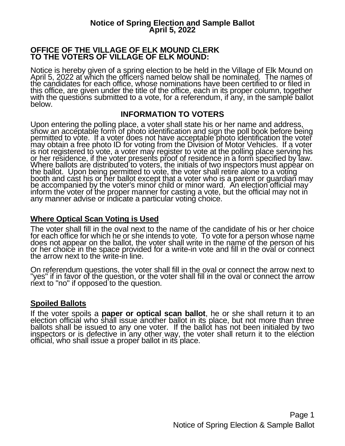#### **OFFICE OF THE VILLAGE OF ELK MOUND CLERK TO THE VOTERS OF VILLAGE OF ELK MOUND:**

Notice is hereby given of a spring election to be held in the Village of Elk Mound on April 5, 2022 at which the officers named below shall be nominated. The names of the candidates for each office, whose nominations have been certified to or filed in this office, are given under the title of the office, each in its proper column, together with the questions submitted to a vote, for a referendum, if any, in the sample ballot below.

### **INFORMATION TO VOTERS**

Upon entering the polling place, a voter shall state his or her name and address, show an acceptable form of photo identification and sign the poll book before being permitted to vote. If a voter does not have acceptable photo identification the voter may obtain a free photo ID for voting from the Division of Motor Vehicles. If a voter is not registered to vote, a voter may register to vote at the polling place serving his or her residence, if the voter presents proof of residence in a form specified by law. Where ballots are distributed to voters, the initials of two inspectors must appear on the ballot. Upon being permitted to vote, the voter shall retire alone to a voting booth and cast his or her ballot except that a voter who is a parent or guardian may be accompanied by the voter's minor child or minor ward. An election official may inform the voter of the proper manner for casting a vote, but the official may not in any manner advise or indicate a particular voting choice.

# **Where Optical Scan Voting is Used**

The voter shall fill in the oval next to the name of the candidate of his or her choice for each office for which he or she intends to vote. To vote for a person whose name does not appear on the ballot, the voter shall write in the name of the person of his or her choice in the space provided for a write-in vote and fill in the oval or connect the arrow next to the write-in line.

On referendum questions, the voter shall fill in the oval or connect the arrow next to "yes" if in favor of the question, or the voter shall fill in the oval or connect the arrow next to "no" if opposed to the question.

# **Spoiled Ballots**

If the voter spoils a **paper or optical scan ballot**, he or she shall return it to an election official who shall issue another ballot in its place, but not more than three ballots shall be issued to any one voter. If the ballot has not been initialed by two inspectors or is defective in any other way, the voter shall return it to the election official, who shall issue a proper ballot in its place.